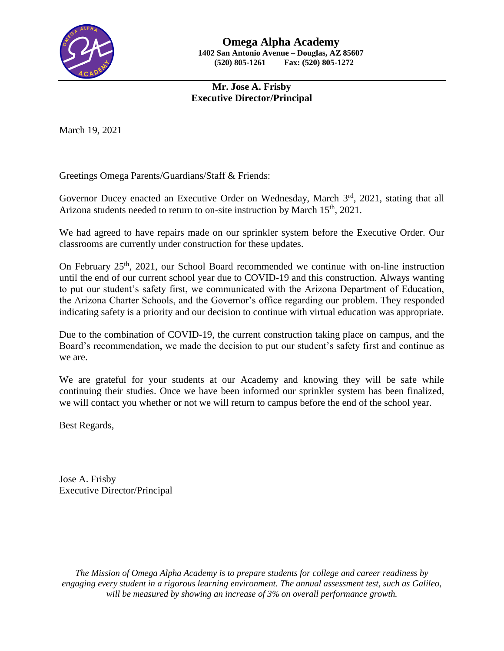

## **Mr. Jose A. Frisby Executive Director/Principal**

March 19, 2021

Greetings Omega Parents/Guardians/Staff & Friends:

Governor Ducey enacted an Executive Order on Wednesday, March 3<sup>rd</sup>, 2021, stating that all Arizona students needed to return to on-site instruction by March 15<sup>th</sup>, 2021.

We had agreed to have repairs made on our sprinkler system before the Executive Order. Our classrooms are currently under construction for these updates.

On February 25<sup>th</sup>, 2021, our School Board recommended we continue with on-line instruction until the end of our current school year due to COVID-19 and this construction. Always wanting to put our student's safety first, we communicated with the Arizona Department of Education, the Arizona Charter Schools, and the Governor's office regarding our problem. They responded indicating safety is a priority and our decision to continue with virtual education was appropriate.

Due to the combination of COVID-19, the current construction taking place on campus, and the Board's recommendation, we made the decision to put our student's safety first and continue as we are.

We are grateful for your students at our Academy and knowing they will be safe while continuing their studies. Once we have been informed our sprinkler system has been finalized, we will contact you whether or not we will return to campus before the end of the school year.

Best Regards,

Jose A. Frisby Executive Director/Principal

*The Mission of Omega Alpha Academy is to prepare students for college and career readiness by engaging every student in a rigorous learning environment. The annual assessment test, such as Galileo, will be measured by showing an increase of 3% on overall performance growth.*